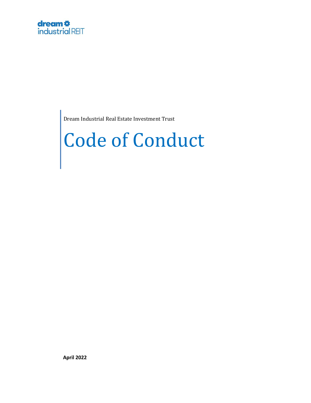Dream Industrial Real Estate Investment Trust

# Code of Conduct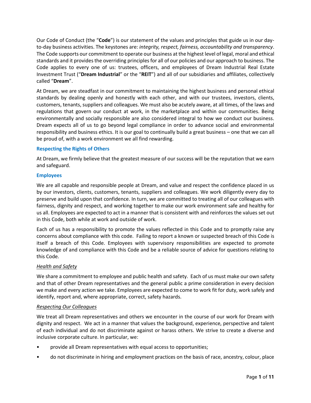Our Code of Conduct (the "**Code**") is our statement of the values and principles that guide us in our dayto-day business activities. The keystones are: *integrity, respect, fairness, accountability and transparency*. The Code supports our commitment to operate our business at the highest level of legal, moral and ethical standards and it provides the overriding principles for all of our policies and our approach to business. The Code applies to every one of us: trustees, officers, and employees of Dream Industrial Real Estate Investment Trust ("**Dream Industrial**" or the "**REIT**") and all of our subsidiaries and affiliates, collectively called "**Dream**".

At Dream, we are steadfast in our commitment to maintaining the highest business and personal ethical standards by dealing openly and honestly with each other, and with our trustees, investors, clients, customers, tenants, suppliers and colleagues. We must also be acutely aware, at all times, of the laws and regulations that govern our conduct at work, in the marketplace and within our communities. Being environmentally and socially responsible are also considered integral to how we conduct our business. Dream expects all of us to go beyond legal compliance in order to advance social and environmental responsibility and business ethics. It is our goal to continually build a great business – one that we can all be proud of, with a work environment we all find rewarding.

# **Respecting the Rights of Others**

At Dream, we firmly believe that the greatest measure of our success will be the reputation that we earn and safeguard.

# **Employees**

We are all capable and responsible people at Dream, and value and respect the confidence placed in us by our investors, clients, customers, tenants, suppliers and colleagues. We work diligently every day to preserve and build upon that confidence. In turn, we are committed to treating all of our colleagues with fairness, dignity and respect, and working together to make our work environment safe and healthy for us all. Employees are expected to act in a manner that is consistent with and reinforces the values set out in this Code, both while at work and outside of work.

Each of us has a responsibility to promote the values reflected in this Code and to promptly raise any concerns about compliance with this code. Failing to report a known or suspected breach of this Code is itself a breach of this Code. Employees with supervisory responsibilities are expected to promote knowledge of and compliance with this Code and be a reliable source of advice for questions relating to this Code.

# *Health and Safety*

We share a commitment to employee and public health and safety. Each of us must make our own safety and that of other Dream representatives and the general public a prime consideration in every decision we make and every action we take. Employees are expected to come to work fit for duty, work safely and identify, report and, where appropriate, correct, safety hazards.

# *Respecting Our Colleagues*

We treat all Dream representatives and others we encounter in the course of our work for Dream with dignity and respect. We act in a manner that values the background, experience, perspective and talent of each individual and do not discriminate against or harass others. We strive to create a diverse and inclusive corporate culture. In particular, we:

- provide all Dream representatives with equal access to opportunities;
- do not discriminate in hiring and employment practices on the basis of race, ancestry, colour, place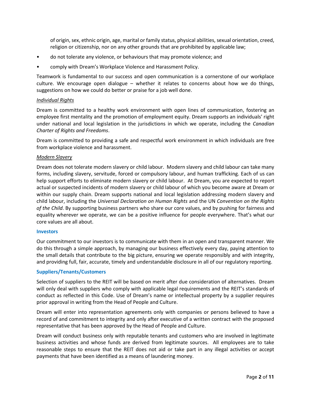of origin, sex, ethnic origin, age, marital or family status, physical abilities, sexual orientation, creed, religion or citizenship, nor on any other grounds that are prohibited by applicable law;

- do not tolerate any violence, or behaviours that may promote violence; and
- comply with Dream's Workplace Violence and Harassment Policy.

Teamwork is fundamental to our success and open communication is a cornerstone of our workplace culture. We encourage open dialogue – whether it relates to concerns about how we do things, suggestions on how we could do better or praise for a job well done.

## *Individual Rights*

Dream is committed to a healthy work environment with open lines of communication, fostering an employee first mentality and the promotion of employment equity. Dream supports an individuals' right under national and local legislation in the jurisdictions in which we operate, including the *Canadian Charter of Rights and Freedoms*.

Dream is committed to providing a safe and respectful work environment in which individuals are free from workplace violence and harassment.

## *Modern Slavery*

Dream does not tolerate modern slavery or child labour. Modern slavery and child labour can take many forms, including slavery, servitude, forced or compulsory labour, and human trafficking. Each of us can help support efforts to eliminate modern slavery or child labour. At Dream, you are expected to report actual or suspected incidents of modern slavery or child labour of which you become aware at Dream or within our supply chain. Dream supports national and local legislation addressing modern slavery and child labour, including the *Universal Declaration on Human Rights* and the UN *Convention on the Rights of the Child*. By supporting business partners who share our core values, and by pushing for fairness and equality wherever we operate, we can be a positive influence for people everywhere. That's what our core values are all about.

#### **Investors**

Our commitment to our investors is to communicate with them in an open and transparent manner. We do this through a simple approach, by managing our business effectively every day, paying attention to the small details that contribute to the big picture, ensuring we operate responsibly and with integrity, and providing full, fair, accurate, timely and understandable disclosure in all of our regulatory reporting.

## **Suppliers/Tenants/Customers**

Selection of suppliers to the REIT will be based on merit after due consideration of alternatives. Dream will only deal with suppliers who comply with applicable legal requirements and the REIT's standards of conduct as reflected in this Code. Use of Dream's name or intellectual property by a supplier requires prior approval in writing from the Head of People and Culture.

Dream will enter into representation agreements only with companies or persons believed to have a record of and commitment to integrity and only after executive of a written contract with the proposed representative that has been approved by the Head of People and Culture.

Dream will conduct business only with reputable tenants and customers who are involved in legitimate business activities and whose funds are derived from legitimate sources. All employees are to take reasonable steps to ensure that the REIT does not aid or take part in any illegal activities or accept payments that have been identified as a means of laundering money.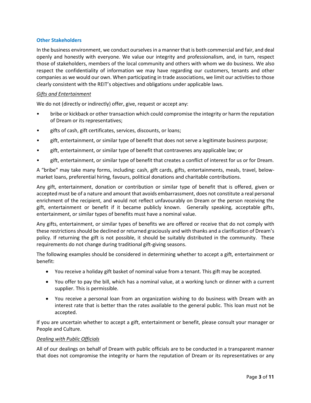## **Other Stakeholders**

In the business environment, we conduct ourselves in a manner that is both commercial and fair, and deal openly and honestly with everyone. We value our integrity and professionalism, and, in turn, respect those of stakeholders, members of the local community and others with whom we do business. We also respect the confidentiality of information we may have regarding our customers, tenants and other companies as we would our own. When participating in trade associations, we limit our activities to those clearly consistent with the REIT's objectives and obligations under applicable laws.

## *Gifts and Entertainment*

We do not (directly or indirectly) offer, give, request or accept any:

- bribe or kickback or other transaction which could compromise the integrity or harm the reputation of Dream or its representatives;
- gifts of cash, gift certificates, services, discounts, or loans;
- gift, entertainment, or similar type of benefit that does not serve a legitimate business purpose;
- gift, entertainment, or similar type of benefit that contravenes any applicable law; or
- gift, entertainment, or similar type of benefit that creates a conflict of interest for us or for Dream.

A "bribe" may take many forms, including: cash, gift cards, gifts, entertainments, meals, travel, belowmarket loans, preferential hiring, favours, political donations and charitable contributions.

Any gift, entertainment, donation or contribution or similar type of benefit that is offered, given or accepted must be of a nature and amount that avoids embarrassment, does not constitute a real personal enrichment of the recipient, and would not reflect unfavourably on Dream or the person receiving the gift, entertainment or benefit if it became publicly known. Generally speaking, acceptable gifts, entertainment, or similar types of benefits must have a nominal value.

Any gifts, entertainment, or similar types of benefits we are offered or receive that do not comply with these restrictions should be declined or returned graciously and with thanks and a clarification of Dream's policy. If returning the gift is not possible, it should be suitably distributed in the community. These requirements do not change during traditional gift-giving seasons.

The following examples should be considered in determining whether to accept a gift, entertainment or benefit:

- You receive a holiday gift basket of nominal value from a tenant. This gift may be accepted.
- You offer to pay the bill, which has a nominal value, at a working lunch or dinner with a current supplier. This is permissible.
- You receive a personal loan from an organization wishing to do business with Dream with an interest rate that is better than the rates available to the general public. This loan must not be accepted.

If you are uncertain whether to accept a gift, entertainment or benefit, please consult your manager or People and Culture.

## *Dealing with Public Officials*

All of our dealings on behalf of Dream with public officials are to be conducted in a transparent manner that does not compromise the integrity or harm the reputation of Dream or its representatives or any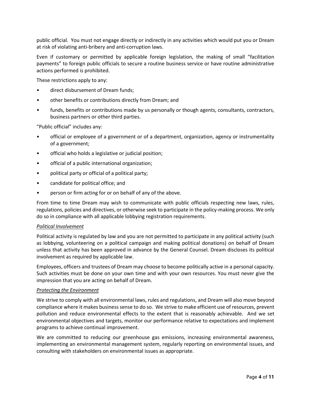public official. You must not engage directly or indirectly in any activities which would put you or Dream at risk of violating anti-bribery and anti-corruption laws.

Even if customary or permitted by applicable foreign legislation, the making of small "facilitation payments" to foreign public officials to secure a routine business service or have routine administrative actions performed is prohibited.

These restrictions apply to any:

- direct disbursement of Dream funds;
- other benefits or contributions directly from Dream; and
- funds, benefits or contributions made by us personally or though agents, consultants, contractors, business partners or other third parties.

"Public official" includes any:

- official or employee of a government or of a department, organization, agency or instrumentality of a government;
- official who holds a legislative or judicial position;
- official of a public international organization;
- political party or official of a political party;
- candidate for political office; and
- person or firm acting for or on behalf of any of the above.

From time to time Dream may wish to communicate with public officials respecting new laws, rules, regulations, policies and directives, or otherwise seek to participate in the policy-making process. We only do so in compliance with all applicable lobbying registration requirements.

## *Political Involvement*

Political activity is regulated by law and you are not permitted to participate in any political activity (such as lobbying, volunteering on a political campaign and making political donations) on behalf of Dream unless that activity has been approved in advance by the General Counsel. Dream discloses its political involvement as required by applicable law.

Employees, officers and trustees of Dream may choose to become politically active in a personal capacity. Such activities must be done on your own time and with your own resources. You must never give the impression that you are acting on behalf of Dream.

## *Protecting the Environment*

We strive to comply with all environmental laws, rules and regulations, and Dream will also move beyond compliance where it makes business sense to do so. We strive to make efficient use of resources, prevent pollution and reduce environmental effects to the extent that is reasonably achievable. And we set environmental objectives and targets, monitor our performance relative to expectations and implement programs to achieve continual improvement.

We are committed to reducing our greenhouse gas emissions, increasing environmental awareness, implementing an environmental management system, regularly reporting on environmental issues, and consulting with stakeholders on environmental issues as appropriate.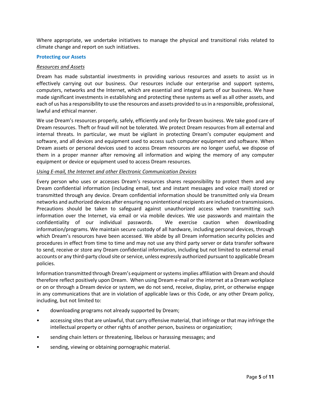Where appropriate, we undertake initiatives to manage the physical and transitional risks related to climate change and report on such initiatives.

#### **Protecting our Assets**

#### *Resources and Assets*

Dream has made substantial investments in providing various resources and assets to assist us in effectively carrying out our business. Our resources include our enterprise and support systems, computers, networks and the Internet, which are essential and integral parts of our business. We have made significant investments in establishing and protecting these systems as well as all other assets, and each of us has a responsibility to use the resources and assets provided to us in a responsible, professional, lawful and ethical manner.

We use Dream's resources properly, safely, efficiently and only for Dream business. We take good care of Dream resources. Theft or fraud will not be tolerated. We protect Dream resources from all external and internal threats. In particular, we must be vigilant in protecting Dream's computer equipment and software, and all devices and equipment used to access such computer equipment and software. When Dream assets or personal devices used to access Dream resources are no longer useful, we dispose of them in a proper manner after removing all information and wiping the memory of any computer equipment or device or equipment used to access Dream resources.

#### *Using E-mail, the Internet and other Electronic Communication Devices*

Every person who uses or accesses Dream's resources shares responsibility to protect them and any Dream confidential information (including email, text and instant messages and voice mail) stored or transmitted through any device. Dream confidential information should be transmitted only via Dream networks and authorized devices after ensuring no unintentional recipients are included on transmissions. Precautions should be taken to safeguard against unauthorized access when transmitting such information over the Internet, via email or via mobile devices. We use passwords and maintain the confidentiality of our individual passwords. We exercise caution when downloading information/programs. We maintain secure custody of all hardware, including personal devices, through which Dream's resources have been accessed. We abide by all Dream information security policies and procedures in effect from time to time and may not use any third party server or data transfer software to send, receive or store any Dream confidential information, including but not limited to external email accounts or any third-party cloud site or service, unless expressly authorized pursuant to applicable Dream policies.

Information transmitted through Dream's equipment or systems implies affiliation with Dream and should therefore reflect positively upon Dream. When using Dream e-mail or the internet at a Dream workplace or on or through a Dream device or system, we do not send, receive, display, print, or otherwise engage in any communications that are in violation of applicable laws or this Code, or any other Dream policy, including, but not limited to:

- downloading programs not already supported by Dream;
- accessing sites that are unlawful, that carry offensive material, that infringe or that may infringe the intellectual property or other rights of another person, business or organization;
- sending chain letters or threatening, libelous or harassing messages; and
- sending, viewing or obtaining pornographic material.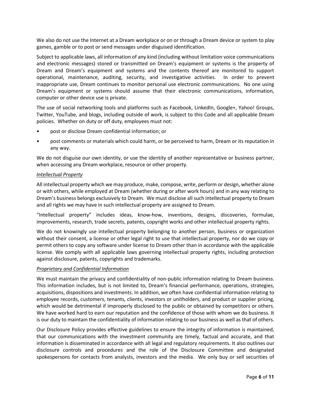We also do not use the Internet at a Dream workplace or on or through a Dream device or system to play games, gamble or to post or send messages under disguised identification.

Subject to applicable laws, all information of any kind (including without limitation voice communications and electronic messages) stored or transmitted on Dream's equipment or systems is the property of Dream and Dream's equipment and systems and the contents thereof are monitored to support operational, maintenance, auditing, security, and investigative activities. In order to prevent inappropriate use, Dream continues to monitor personal use electronic communications. No one using Dream's equipment or systems should assume that their electronic communications, information, computer or other device use is private.

The use of social networking tools and platforms such as Facebook, LinkedIn, Google+, Yahoo! Groups, Twitter, YouTube, and blogs, including outside of work, is subject to this Code and all applicable Dream policies. Whether on duty or off duty, employees must not:

- post or disclose Dream confidential information; or
- post comments or materials which could harm, or be perceived to harm, Dream or its reputation in any way.

We do not disguise our own identity, or use the identity of another representative or business partner, when accessing any Dream workplace, resource or other property.

# *Intellectual Property*

All intellectual property which we may produce, make, compose, write, perform or design, whether alone or with others, while employed at Dream (whether during or after work hours) and in any way relating to Dream's business belongs exclusively to Dream. We must disclose all such intellectual property to Dream and all rights we may have in such intellectual property are assigned to Dream.

"Intellectual property" includes ideas, know-how, inventions, designs, discoveries, formulae, improvements, research, trade secrets, patents, copyright works and other intellectual property rights.

We do not knowingly use intellectual property belonging to another person, business or organization without their consent, a license or other legal right to use that intellectual property, nor do we copy or permit others to copy any software under license to Dream other than in accordance with the applicable license. We comply with all applicable laws governing intellectual property rights, including protection against disclosure, patents, copyrights and trademarks.

# *Proprietary and Confidential Information*

We must maintain the privacy and confidentiality of non-public information relating to Dream business. This information includes, but is not limited to, Dream's financial performance, operations, strategies, acquisitions, dispositions and investments. In addition, we often have confidential information relating to employee records, customers, tenants, clients, investors or unitholders, and product or supplier pricing, which would be detrimental if improperly disclosed to the public or obtained by competitors or others. We have worked hard to earn our reputation and the confidence of those with whom we do business. It is our duty to maintain the confidentiality of information relating to our business as well as that of others.

Our Disclosure Policy provides effective guidelines to ensure the integrity of information is maintained, that our communications with the investment community are timely, factual and accurate, and that information is disseminated in accordance with all legal and regulatory requirements. It also outlines our disclosure controls and procedures and the role of the Disclosure Committee and designated spokespersons for contacts from analysts, investors and the media. We only buy or sell securities of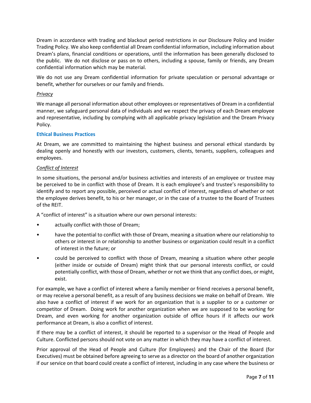Dream in accordance with trading and blackout period restrictions in our Disclosure Policy and Insider Trading Policy. We also keep confidential all Dream confidential information, including information about Dream's plans, financial conditions or operations, until the information has been generally disclosed to the public. We do not disclose or pass on to others, including a spouse, family or friends, any Dream confidential information which may be material.

We do not use any Dream confidential information for private speculation or personal advantage or benefit, whether for ourselves or our family and friends.

# *Privacy*

We manage all personal information about other employees or representatives of Dream in a confidential manner, we safeguard personal data of individuals and we respect the privacy of each Dream employee and representative, including by complying with all applicable privacy legislation and the Dream Privacy Policy.

## **Ethical Business Practices**

At Dream, we are committed to maintaining the highest business and personal ethical standards by dealing openly and honestly with our investors, customers, clients, tenants, suppliers, colleagues and employees.

## *Conflict of Interest*

In some situations, the personal and/or business activities and interests of an employee or trustee may be perceived to be in conflict with those of Dream. It is each employee's and trustee's responsibility to identify and to report any possible, perceived or actual conflict of interest, regardless of whether or not the employee derives benefit, to his or her manager, or in the case of a trustee to the Board of Trustees of the REIT.

A "conflict of interest" is a situation where our own personal interests:

- actually conflict with those of Dream;
- have the potential to conflict with those of Dream, meaning a situation where our relationship to others or interest in or relationship to another business or organization could result in a conflict of interest in the future; or
- could be perceived to conflict with those of Dream, meaning a situation where other people (either inside or outside of Dream) might think that our personal interests conflict, or could potentially conflict, with those of Dream, whether or not we think that any conflict does, or might, exist.

For example, we have a conflict of interest where a family member or friend receives a personal benefit, or may receive a personal benefit, as a result of any business decisions we make on behalf of Dream. We also have a conflict of interest if we work for an organization that is a supplier to or a customer or competitor of Dream. Doing work for another organization when we are supposed to be working for Dream, and even working for another organization outside of office hours if it affects our work performance at Dream, is also a conflict of interest.

If there may be a conflict of interest, it should be reported to a supervisor or the Head of People and Culture. Conflicted persons should not vote on any matter in which they may have a conflict of interest.

Prior approval of the Head of People and Culture (for Employees) and the Chair of the Board (for Executives) must be obtained before agreeing to serve as a director on the board of another organization if our service on that board could create a conflict of interest, including in any case where the business or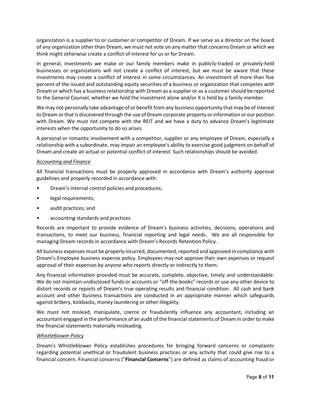organization is a supplier to or customer or competitor of Dream. If we serve as a director on the board of any organization other than Dream, we must not vote on any matter that concerns Dream or which we think might otherwise create a conflict of interest for us or for Dream.

In general, investments we make or our family members make in publicly-traded or privately-held businesses or organizations will not create a conflict of interest, but we must be aware that these investments may create a conflict of interest in some circumstances. An investment of more than five percent of the issued and outstanding equity securities of a business or organization that competes with Dream or which has a business relationship with Dream as a supplier or as a customer should be reported to the General Counsel, whether we hold the investment alone and/or it is held by a family member.

We may not personally take advantage of or benefit from any business opportunity that may be of interest to Dream or that is discovered through the use of Dream corporate property or information or our position with Dream. We must not compete with the REIT and we have a duty to advance Dream's legitimate interests when the opportunity to do so arises.

A personal or romantic involvement with a competitor, supplier or any employee of Dream, especially a relationship with a subordinate, may impair an employee's ability to exercise good judgment on behalf of Dream and create an actual or potential conflict of interest. Such relationships should be avoided.

## *Accounting and Finance*

All financial transactions must be properly approved in accordance with Dream's authority approval guidelines and properly recorded in accordance with:

- Dream's internal control policies and procedures;
- legal requirements;
- audit practices; and
- accounting standards and practices.

Records are important to provide evidence of Dream's business activities, decisions, operations and transactions, to meet our business, financial reporting and legal needs. We are all responsible for managing Dream records in accordance with Dream's Records Retention Policy.

All business expenses must be properly incurred, documented, reported and approved in compliance with Dream's Employee business expense policy. Employees may not approve their own expenses or request approval of their expenses by anyone who reports directly or indirectly to them.

Any financial information provided must be accurate, complete, objective, timely and understandable. We do not maintain undisclosed funds or accounts or "off-the-books" records or use any other device to distort records or reports of Dream's true operating results and financial condition. All cash and bank account and other business transactions are conducted in an appropriate manner which safeguards against bribery, kickbacks, money laundering or other illegality.

We must not mislead, manipulate, coerce or fraudulently influence any accountant, including an accountant engaged in the performance of an audit of the financial statements of Dream in order to make the financial statements materially misleading.

## *Whistleblower Policy*

Dream's Whistleblower Policy establishes procedures for bringing forward concerns or complaints regarding potential unethical or fraudulent business practices or any activity that could give rise to a financial concern. Financial concerns ("**Financial Concerns**") are defined as claims of accounting fraud or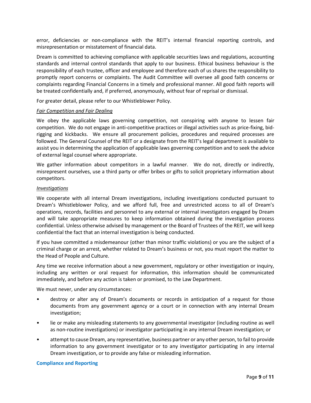error, deficiencies or non-compliance with the REIT's internal financial reporting controls, and misrepresentation or misstatement of financial data.

Dream is committed to achieving compliance with applicable securities laws and regulations, accounting standards and internal control standards that apply to our business. Ethical business behaviour is the responsibility of each trustee, officer and employee and therefore each of us shares the responsibility to promptly report concerns or complaints. The Audit Committee will oversee all good faith concerns or complaints regarding Financial Concerns in a timely and professional manner. All good faith reports will be treated confidentially and, if preferred, anonymously, without fear of reprisal or dismissal.

For greater detail, please refer to our Whistleblower Policy.

## *Fair Competition and Fair Dealing*

We obey the applicable laws governing competition, not conspiring with anyone to lessen fair competition. We do not engage in anti-competitive practices or illegal activities such as price-fixing, bidrigging and kickbacks. We ensure all procurement policies, procedures and required processes are followed. The General Counsel of the REIT or a designate from the REIT's legal department is available to assist you in determining the application of applicable laws governing competition and to seek the advice of external legal counsel where appropriate.

We gather information about competitors in a lawful manner. We do not, directly or indirectly, misrepresent ourselves, use a third party or offer bribes or gifts to solicit proprietary information about competitors.

## *Investigations*

We cooperate with all internal Dream investigations, including investigations conducted pursuant to Dream's Whistleblower Policy, and we afford full, free and unrestricted access to all of Dream's operations, records, facilities and personnel to any external or internal investigators engaged by Dream and will take appropriate measures to keep information obtained during the investigation process confidential. Unless otherwise advised by management or the Board of Trustees of the REIT, we will keep confidential the fact that an internal investigation is being conducted.

If you have committed a misdemeanour (other than minor traffic violations) or you are the subject of a criminal charge or an arrest, whether related to Dream's business or not, you must report the matter to the Head of People and Culture.

Any time we receive information about a new government, regulatory or other investigation or inquiry, including any written or oral request for information, this information should be communicated immediately, and before any action is taken or promised, to the Law Department.

We must never, under any circumstances:

- destroy or alter any of Dream's documents or records in anticipation of a request for those documents from any government agency or a court or in connection with any internal Dream investigation;
- lie or make any misleading statements to any governmental investigator (including routine as well as non-routine investigations) or investigator participating in any internal Dream investigation; or
- attempt to cause Dream, any representative, business partner or any other person, to fail to provide information to any government investigator or to any investigator participating in any internal Dream investigation, or to provide any false or misleading information.

## **Compliance and Reporting**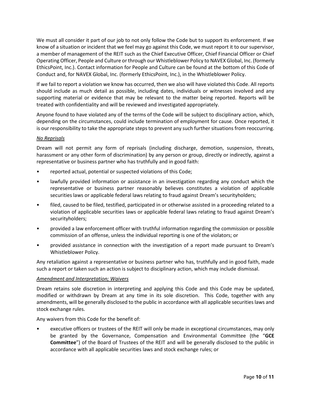We must all consider it part of our job to not only follow the Code but to support its enforcement. If we know of a situation or incident that we feel may go against this Code, we must report it to our supervisor, a member of management of the REIT such as the Chief Executive Officer, Chief Financial Officer or Chief Operating Officer, People and Culture or through our Whistleblower Policy to NAVEX Global, Inc. (formerly EthicsPoint, Inc.). Contact information for People and Culture can be found at the bottom of this Code of Conduct and, for NAVEX Global, Inc. (formerly EthicsPoint, Inc.), in the Whistleblower Policy.

If we fail to report a violation we know has occurred, then we also will have violated this Code. All reports should include as much detail as possible, including dates, individuals or witnesses involved and any supporting material or evidence that may be relevant to the matter being reported. Reports will be treated with confidentiality and will be reviewed and investigated appropriately.

Anyone found to have violated any of the terms of the Code will be subject to disciplinary action, which, depending on the circumstances, could include termination of employment for cause. Once reported, it is our responsibility to take the appropriate steps to prevent any such further situations from reoccurring.

# *No Reprisals*

Dream will not permit any form of reprisals (including discharge, demotion, suspension, threats, harassment or any other form of discrimination) by any person or group, directly or indirectly, against a representative or business partner who has truthfully and in good faith:

- reported actual, potential or suspected violations of this Code;
- lawfully provided information or assistance in an investigation regarding any conduct which the representative or business partner reasonably believes constitutes a violation of applicable securities laws or applicable federal laws relating to fraud against Dream's securityholders;
- filed, caused to be filed, testified, participated in or otherwise assisted in a proceeding related to a violation of applicable securities laws or applicable federal laws relating to fraud against Dream's securityholders;
- provided a law enforcement officer with truthful information regarding the commission or possible commission of an offense, unless the individual reporting is one of the violators; or
- provided assistance in connection with the investigation of a report made pursuant to Dream's Whistleblower Policy.

Any retaliation against a representative or business partner who has, truthfully and in good faith, made such a report or taken such an action is subject to disciplinary action, which may include dismissal.

# *Amendment and Interpretation; Waivers*

Dream retains sole discretion in interpreting and applying this Code and this Code may be updated, modified or withdrawn by Dream at any time in its sole discretion. This Code, together with any amendments, will be generally disclosed to the public in accordance with all applicable securities laws and stock exchange rules.

Any waivers from this Code for the benefit of:

• executive officers or trustees of the REIT will only be made in exceptional circumstances, may only be granted by the Governance, Compensation and Environmental Committee (the "**GCE Committee**") of the Board of Trustees of the REIT and will be generally disclosed to the public in accordance with all applicable securities laws and stock exchange rules; or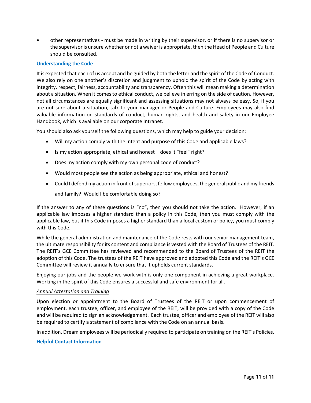• other representatives - must be made in writing by their supervisor, or if there is no supervisor or the supervisor is unsure whether or not a waiver is appropriate, then the Head of People and Culture should be consulted.

## **Understanding the Code**

It is expected that each of us accept and be guided by both the letter and the spirit of the Code of Conduct. We also rely on one another's discretion and judgment to uphold the spirit of the Code by acting with integrity, respect, fairness, accountability and transparency. Often this will mean making a determination about a situation. When it comes to ethical conduct, we believe in erring on the side of caution. However, not all circumstances are equally significant and assessing situations may not always be easy. So, if you are not sure about a situation, talk to your manager or People and Culture. Employees may also find valuable information on standards of conduct, human rights, and health and safety in our Employee Handbook, which is available on our corporate Intranet.

You should also ask yourself the following questions, which may help to guide your decision:

- Will my action comply with the intent and purpose of this Code and applicable laws?
- Is my action appropriate, ethical and honest does it "feel" right?
- Does my action comply with my own personal code of conduct?
- Would most people see the action as being appropriate, ethical and honest?
- Could I defend my action in front of superiors, fellow employees, the general public and my friends and family? Would I be comfortable doing so?

If the answer to any of these questions is "no", then you should not take the action. However, if an applicable law imposes a higher standard than a policy in this Code, then you must comply with the applicable law, but if this Code imposes a higher standard than a local custom or policy, you must comply with this Code.

While the general administration and maintenance of the Code rests with our senior management team, the ultimate responsibility for its content and compliance is vested with the Board of Trustees of the REIT. The REIT's GCE Committee has reviewed and recommended to the Board of Trustees of the REIT the adoption of this Code. The trustees of the REIT have approved and adopted this Code and the REIT's GCE Committee will review it annually to ensure that it upholds current standards.

Enjoying our jobs and the people we work with is only one component in achieving a great workplace. Working in the spirit of this Code ensures a successful and safe environment for all.

## *Annual Attestation and Training*

Upon election or appointment to the Board of Trustees of the REIT or upon commencement of employment, each trustee, officer, and employee of the REIT, will be provided with a copy of the Code and will be required to sign an acknowledgement. Each trustee, officer and employee of the REIT will also be required to certify a statement of compliance with the Code on an annual basis.

In addition, Dream employees will be periodically required to participate on training on the REIT's Policies.

# **Helpful Contact Information**